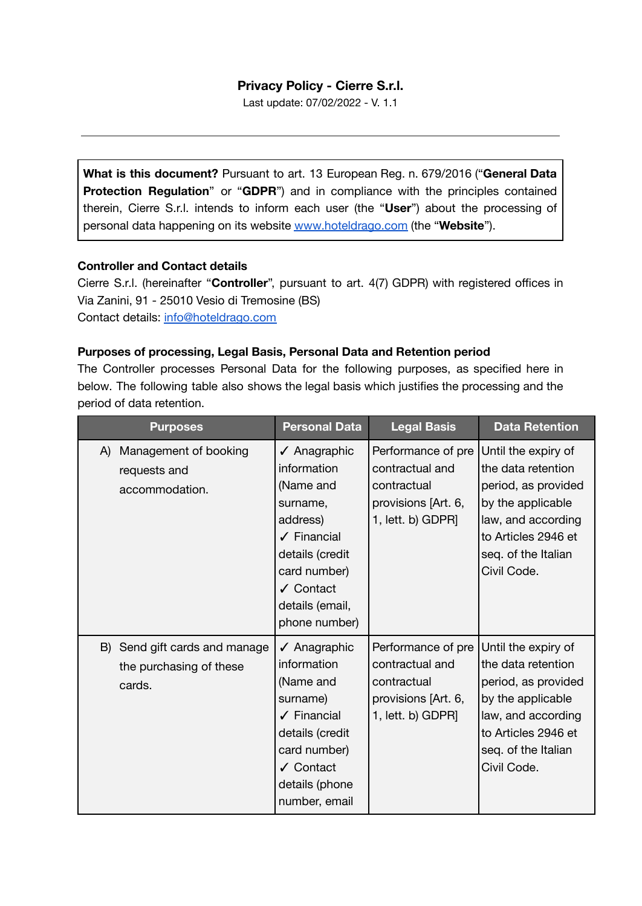# **Privacy Policy - Cierre S.r.l.**

Last update: 07/02/2022 - V. 1.1

**What is this document?** Pursuant to art. 13 European Reg. n. 679/2016 ("**General Data Protection Regulation**" or "**GDPR**") and in compliance with the principles contained therein, Cierre S.r.l. intends to inform each user (the "**User**") about the processing of personal data happening on its website [www.hoteldrago.com](https://www.hoteldrago.com/) (the "**Website**").

#### **Controller and Contact details**

Cierre S.r.l. (hereinafter "**Controller**", pursuant to art. 4(7) GDPR) with registered offices in Via Zanini, 91 - 25010 Vesio di Tremosine (BS)

Contact details: [info@hoteldrago.com](mailto:info@hoteldrago.com)

## **Purposes of processing, Legal Basis, Personal Data and Retention period**

The Controller processes Personal Data for the following purposes, as specified here in below. The following table also shows the legal basis which justifies the processing and the period of data retention.

| <b>Purposes</b>                                                    | <b>Personal Data</b>                                                                                                                                                           | <b>Legal Basis</b>                                                                               | <b>Data Retention</b>                                                                                                                                                    |
|--------------------------------------------------------------------|--------------------------------------------------------------------------------------------------------------------------------------------------------------------------------|--------------------------------------------------------------------------------------------------|--------------------------------------------------------------------------------------------------------------------------------------------------------------------------|
| Management of booking<br>A)<br>requests and<br>accommodation.      | √ Anagraphic<br>information<br>(Name and<br>surname,<br>address)<br>$\checkmark$ Financial<br>details (credit<br>card number)<br>✔ Contact<br>details (email,<br>phone number) | Performance of pre<br>contractual and<br>contractual<br>provisions [Art. 6,<br>1, lett. b) GDPR] | Until the expiry of<br>the data retention<br>period, as provided<br>by the applicable<br>law, and according<br>to Articles 2946 et<br>seq. of the Italian<br>Civil Code. |
| B) Send gift cards and manage<br>the purchasing of these<br>cards. | √ Anagraphic<br>information<br>(Name and<br>surname)<br>$\sqrt{\phantom{a}}$ Financial<br>details (credit<br>card number)<br>√ Contact<br>details (phone<br>number, email      | Performance of pre<br>contractual and<br>contractual<br>provisions [Art. 6,<br>1, lett. b) GDPR] | Until the expiry of<br>the data retention<br>period, as provided<br>by the applicable<br>law, and according<br>to Articles 2946 et<br>seq. of the Italian<br>Civil Code. |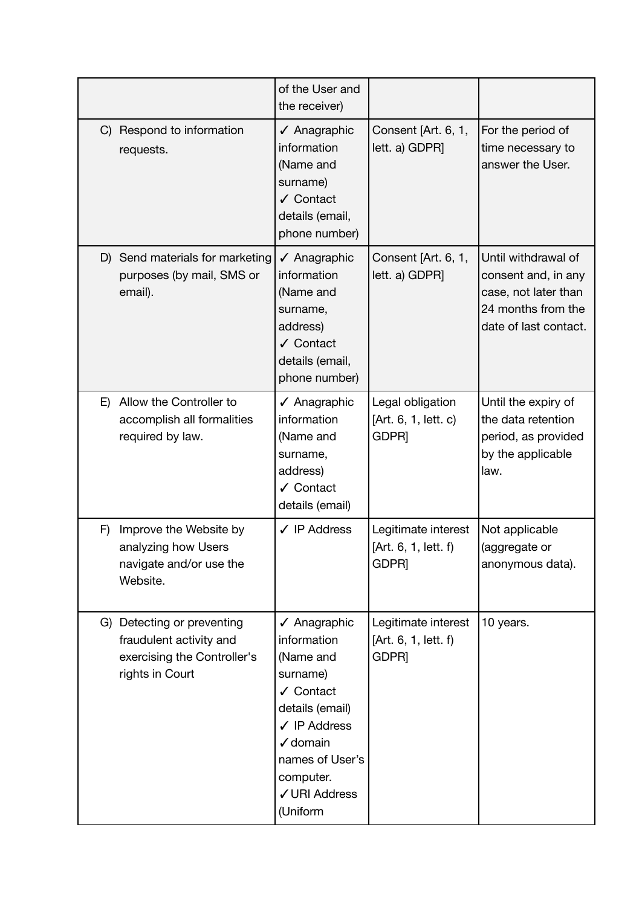|    |                                                                                                         | of the User and<br>the receiver)                                                                                                                                                                    |                                                                  |                                                                                                                   |
|----|---------------------------------------------------------------------------------------------------------|-----------------------------------------------------------------------------------------------------------------------------------------------------------------------------------------------------|------------------------------------------------------------------|-------------------------------------------------------------------------------------------------------------------|
| C) | Respond to information<br>requests.                                                                     | $\sqrt{\phantom{a}}$ Anagraphic<br>information<br>(Name and<br>surname)<br>✔ Contact<br>details (email,<br>phone number)                                                                            | Consent [Art. 6, 1,<br>lett. a) GDPR]                            | For the period of<br>time necessary to<br>answer the User.                                                        |
|    | D) Send materials for marketing<br>purposes (by mail, SMS or<br>email).                                 | ✔ Anagraphic<br>information<br>(Name and<br>surname,<br>address)<br>✔ Contact<br>details (email,<br>phone number)                                                                                   | Consent [Art. 6, 1,<br>lett. a) GDPR]                            | Until withdrawal of<br>consent and, in any<br>case, not later than<br>24 months from the<br>date of last contact. |
| E) | Allow the Controller to<br>accomplish all formalities<br>required by law.                               | $\sqrt{\phantom{a}}$ Anagraphic<br>information<br>(Name and<br>surname,<br>address)<br>✔ Contact<br>details (email)                                                                                 | Legal obligation<br>[Art. 6, 1, lett. c)<br>GDPR]                | Until the expiry of<br>the data retention<br>period, as provided<br>by the applicable<br>law.                     |
| F) | Improve the Website by<br>analyzing how Users<br>navigate and/or use the<br>Website.                    | $\checkmark$ IP Address                                                                                                                                                                             | Legitimate interest<br>[Art. 6, 1, lett. f)<br>GDPR]             | Not applicable<br>(aggregate or<br>anonymous data).                                                               |
|    | G) Detecting or preventing<br>fraudulent activity and<br>exercising the Controller's<br>rights in Court | ✔ Anagraphic<br>information<br>(Name and<br>surname)<br>✔ Contact<br>details (email)<br>$\checkmark$ IP Address<br>$\checkmark$ domain<br>names of User's<br>computer.<br>√ URI Address<br>(Uniform | Legitimate interest<br>[Art. 6, 1, lett. f)<br>GDPR <sub>I</sub> | 10 years.                                                                                                         |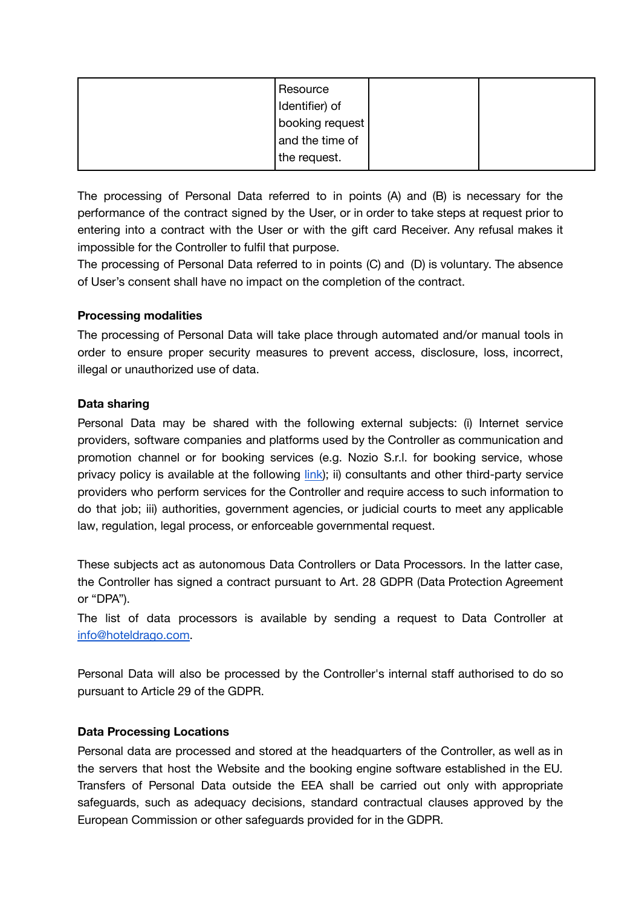| Resource<br>Identifier) of |  |
|----------------------------|--|
| booking request            |  |
| and the time of            |  |
| the request.               |  |

The processing of Personal Data referred to in points (A) and (B) is necessary for the performance of the contract signed by the User, or in order to take steps at request prior to entering into a contract with the User or with the gift card Receiver. Any refusal makes it impossible for the Controller to fulfil that purpose.

The processing of Personal Data referred to in points (C) and (D) is voluntary. The absence of User's consent shall have no impact on the completion of the contract.

## **Processing modalities**

The processing of Personal Data will take place through automated and/or manual tools in order to ensure proper security measures to prevent access, disclosure, loss, incorrect, illegal or unauthorized use of data.

## **Data sharing**

Personal Data may be shared with the following external subjects: (i) Internet service providers, software companies and platforms used by the Controller as communication and promotion channel or for booking services (e.g. Nozio S.r.l. for booking service, whose privacy policy is available at the following [link\)](https://www.nozio.biz/copyright-ip-policy-privacy-cookies/); ii) consultants and other third-party service providers who perform services for the Controller and require access to such information to do that job; iii) authorities, government agencies, or judicial courts to meet any applicable law, regulation, legal process, or enforceable governmental request.

These subjects act as autonomous Data Controllers or Data Processors. In the latter case, the Controller has signed a contract pursuant to Art. 28 GDPR (Data Protection Agreement or "DPA").

The list of data processors is available by sending a request to Data Controller at [info@hoteldrago.com](mailto:info@hoteldrago.com).

Personal Data will also be processed by the Controller's internal staff authorised to do so pursuant to Article 29 of the GDPR.

#### **Data Processing Locations**

Personal data are processed and stored at the headquarters of the Controller, as well as in the servers that host the Website and the booking engine software established in the EU. Transfers of Personal Data outside the EEA shall be carried out only with appropriate safeguards, such as adequacy decisions, standard contractual clauses approved by the European Commission or other safeguards provided for in the GDPR.